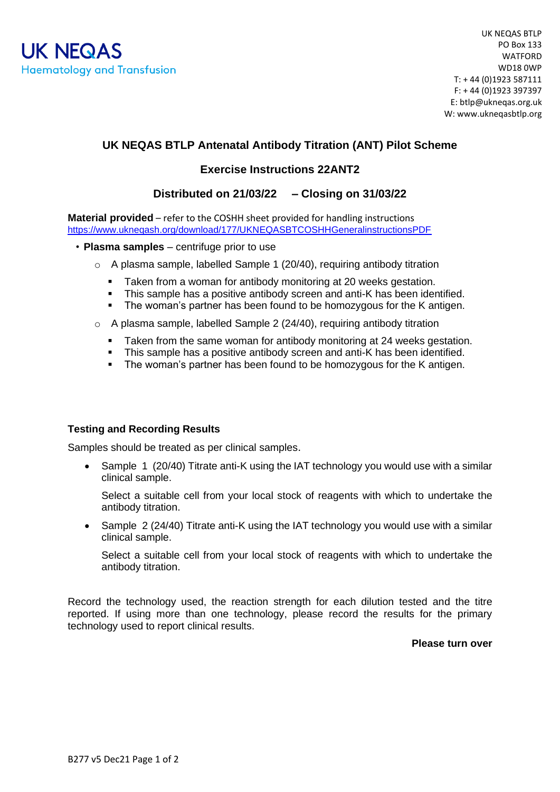# **UK NEQAS BTLP Antenatal Antibody Titration (ANT) Pilot Scheme**

## **Exercise Instructions 22ANT2**

### **Distributed on 21/03/22 – Closing on 31/03/22**

**Material provided** – refer to the COSHH sheet provided for handling instructions <https://www.ukneqash.org/download/177/UKNEQASBTCOSHHGeneralinstructionsPDF>

- **Plasma samples** centrifuge prior to use
	- $\circ$  A plasma sample, labelled Sample 1 (20/40), requiring antibody titration
		- Taken from a woman for antibody monitoring at 20 weeks gestation.
		- This sample has a positive antibody screen and anti-K has been identified.
		- The woman's partner has been found to be homozygous for the K antigen.
	- o A plasma sample, labelled Sample 2 (24/40), requiring antibody titration
		- Taken from the same woman for antibody monitoring at 24 weeks gestation.
		- This sample has a positive antibody screen and anti-K has been identified.
		- The woman's partner has been found to be homozygous for the K antigen.

#### **Testing and Recording Results**

Samples should be treated as per clinical samples.

• Sample 1 (20/40) Titrate anti-K using the IAT technology you would use with a similar clinical sample.

Select a suitable cell from your local stock of reagents with which to undertake the antibody titration.

• Sample 2 (24/40) Titrate anti-K using the IAT technology you would use with a similar clinical sample.

Select a suitable cell from your local stock of reagents with which to undertake the antibody titration.

Record the technology used, the reaction strength for each dilution tested and the titre reported. If using more than one technology, please record the results for the primary technology used to report clinical results.

**Please turn over**